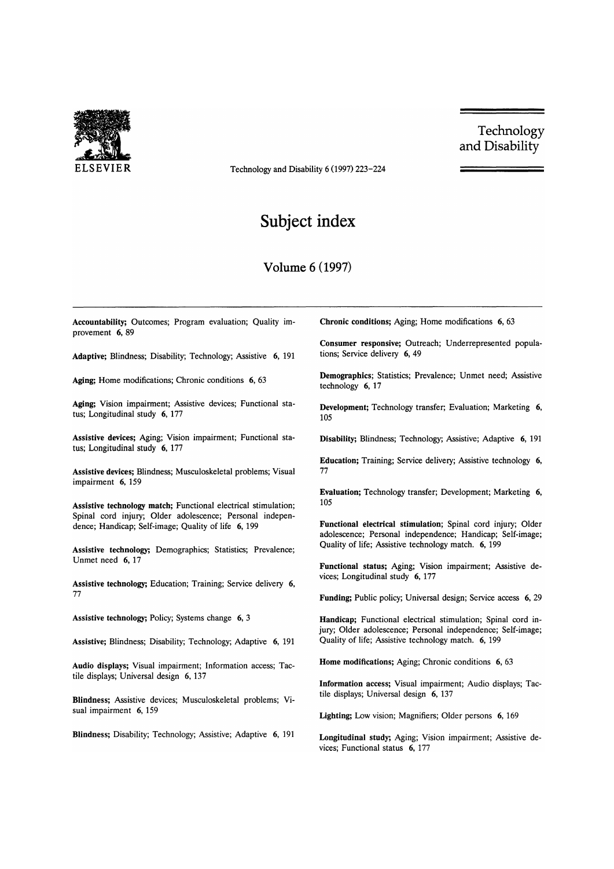

ELSEVIER Technology and Disability 6 (1997) 223-224

Technology and Disability

## **Subject index**

## **Volume** 6 (1997)

Accountability; Outcomes; Program evaluation; Quality improvement 6, 89

Adaptive; Blindness; Disability; Technology; Assistive 6, 191

Aging: Home modifications; Chronic conditions 6, 63

Aging; Vision impairment; Assistive devices; Functional status; Longitudinal study 6, 177

Assistive devices; Aging; Vision impairment; Functional status; Longitudinal study 6, 177

Assistive devices; Blindness; Musculoskeletal problems; Visual impairment 6, 159

Assistive technology match; Functional electrical stimulation; Spinal cord injury; Older adolescence; Personal independence; Handicap; Self-image; Quality of life 6, 199

Assistive technology; Demographics; Statistics; Prevalence; Unmet need 6,17

Assistive technology; Education; Training; Service delivery 6, 77

Assistive technology; Policy; Systems change 6, 3

Assistive; Blindness; Disability; Technology; Adaptive 6, 191

Audio displays; Visual impairment; Information access; Tactile displays; Universal design 6, 137

Blindness; Assistive devices; Musculoskeletal problems; Visual impairment 6, 159

Blindness; Disability; Technology; Assistive; Adaptive 6, 191

Chronic conditions; Aging; Home modifications 6, 63

Consumer responsive; Outreach; Underrepresented populations; Service delivery 6, 49

Demographics; Statistics; Prevalence; Unmet need; Assistive technology 6, 17

Development; Technology transfer; Evaluation; Marketing 6, 105

Disability; Blindness; Technology; Assistive; Adaptive 6, 191

Education; Training; Service delivery; Assistive technology 6, 77

Evaluation; Technology transfer; Development; Marketing 6, 105

Functional electrical stimulation; Spinal cord injury; Older adolescence; Personal independence; Handicap; Self-image; Quality of life; Assistive technology match. 6, 199

Functional status; Aging; Vision impairment; Assistive devices; Longitudinal study 6, 177

Funding; Public policy; Universal design; Service access 6, 29

Handicap; Functional electrical stimulation; Spinal cord injury; Older adolescence; Personal independence; Self-image; Quality of life; Assistive technology match. 6, 199

Home modifications; Aging; Chronic conditions 6, 63

Information access; Visual impairment; Audio displays; Tactile displays; Universal design 6, 137

Lighting; Low vision; Magnifiers; Older persons 6, 169

Longitudinal study; Aging; Vision impairment; Assistive devices; Functional status 6, 177